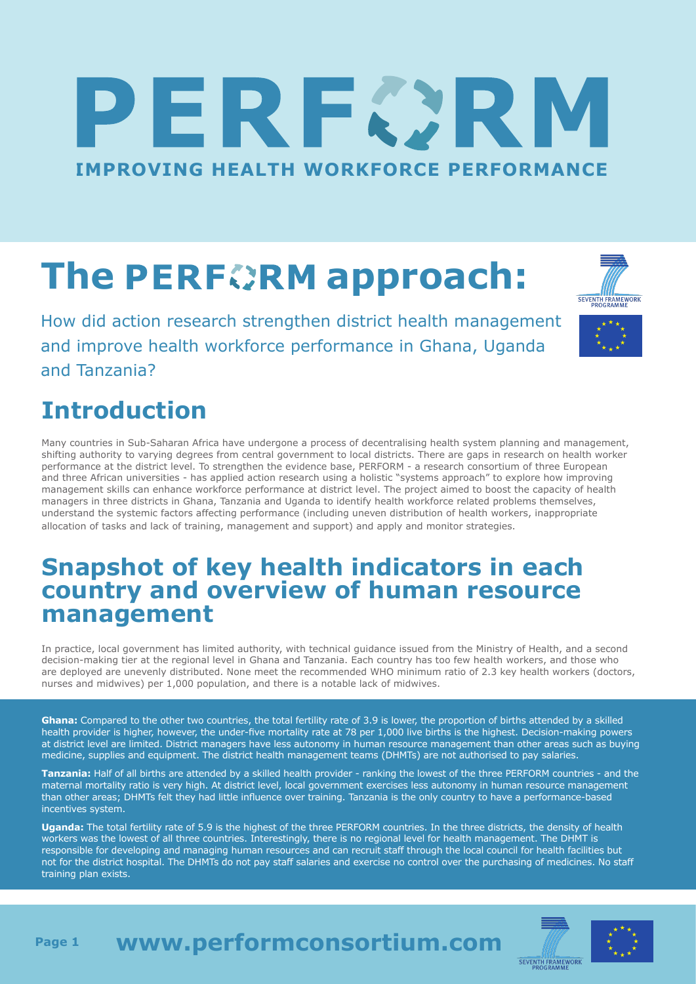# IERFØR **IMPROVING HEALTH WORKFORCE PERFORMANCE**

# **The PERFORM approach:**

How did action research strengthen district health management and improve health workforce performance in Ghana, Uganda and Tanzania?

### **Introduction**

Many countries in Sub-Saharan Africa have undergone a process of decentralising health system planning and management, shifting authority to varying degrees from central government to local districts. There are gaps in research on health worker performance at the district level. To strengthen the evidence base, PERFORM - a research consortium of three European and three African universities - has applied action research using a holistic "systems approach" to explore how improving management skills can enhance workforce performance at district level. The project aimed to boost the capacity of health managers in three districts in Ghana, Tanzania and Uganda to identify health workforce related problems themselves, understand the systemic factors affecting performance (including uneven distribution of health workers, inappropriate allocation of tasks and lack of training, management and support) and apply and monitor strategies.

#### **Snapshot of key health indicators in each country and overview of human resource management**

In practice, local government has limited authority, with technical guidance issued from the Ministry of Health, and a second decision-making tier at the regional level in Ghana and Tanzania. Each country has too few health workers, and those who are deployed are unevenly distributed. None meet the recommended WHO minimum ratio of 2.3 key health workers (doctors, nurses and midwives) per 1,000 population, and there is a notable lack of midwives.

**Ghana:** Compared to the other two countries, the total fertility rate of 3.9 is lower, the proportion of births attended by a skilled health provider is higher, however, the under-five mortality rate at 78 per 1,000 live births is the highest. Decision-making powers at district level are limited. District managers have less autonomy in human resource management than other areas such as buying medicine, supplies and equipment. The district health management teams (DHMTs) are not authorised to pay salaries.

**Tanzania:** Half of all births are attended by a skilled health provider - ranking the lowest of the three PERFORM countries - and the maternal mortality ratio is very high. At district level, local government exercises less autonomy in human resource management than other areas; DHMTs felt they had little influence over training. Tanzania is the only country to have a performance-based incentives system.

**Uganda:** The total fertility rate of 5.9 is the highest of the three PERFORM countries. In the three districts, the density of health workers was the lowest of all three countries. Interestingly, there is no regional level for health management. The DHMT is responsible for developing and managing human resources and can recruit staff through the local council for health facilities but not for the district hospital. The DHMTs do not pay staff salaries and exercise no control over the purchasing of medicines. No staff training plan exists.





#### **www.performconsortium.com**





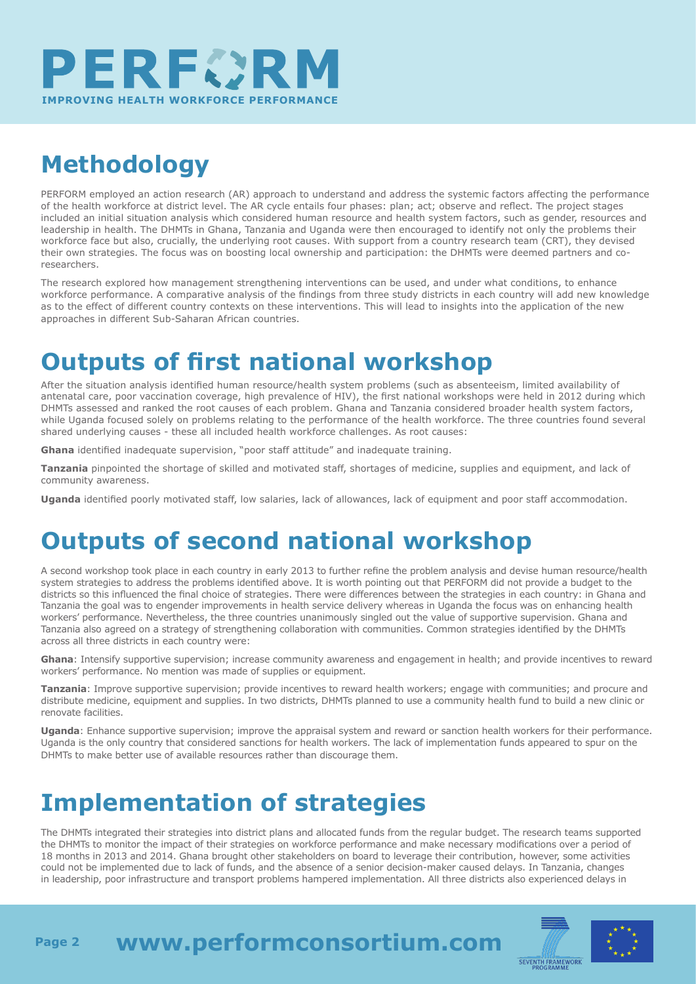

## **Methodology**

PERFORM employed an action research (AR) approach to understand and address the systemic factors affecting the performance of the health workforce at district level. The AR cycle entails four phases: plan; act; observe and reflect. The project stages included an initial situation analysis which considered human resource and health system factors, such as gender, resources and leadership in health. The DHMTs in Ghana, Tanzania and Uganda were then encouraged to identify not only the problems their workforce face but also, crucially, the underlying root causes. With support from a country research team (CRT), they devised their own strategies. The focus was on boosting local ownership and participation: the DHMTs were deemed partners and coresearchers.

The research explored how management strengthening interventions can be used, and under what conditions, to enhance workforce performance. A comparative analysis of the findings from three study districts in each country will add new knowledge as to the effect of different country contexts on these interventions. This will lead to insights into the application of the new approaches in different Sub-Saharan African countries.

#### **Outputs of first national workshop**

After the situation analysis identified human resource/health system problems (such as absenteeism, limited availability of antenatal care, poor vaccination coverage, high prevalence of HIV), the first national workshops were held in 2012 during which DHMTs assessed and ranked the root causes of each problem. Ghana and Tanzania considered broader health system factors, while Uganda focused solely on problems relating to the performance of the health workforce. The three countries found several shared underlying causes - these all included health workforce challenges. As root causes:

**Ghana** identified inadequate supervision, "poor staff attitude" and inadequate training.

**Tanzania** pinpointed the shortage of skilled and motivated staff, shortages of medicine, supplies and equipment, and lack of community awareness.

**Uganda** identified poorly motivated staff, low salaries, lack of allowances, lack of equipment and poor staff accommodation.

#### **Outputs of second national workshop**

A second workshop took place in each country in early 2013 to further refine the problem analysis and devise human resource/health system strategies to address the problems identified above. It is worth pointing out that PERFORM did not provide a budget to the districts so this influenced the final choice of strategies. There were differences between the strategies in each country: in Ghana and Tanzania the goal was to engender improvements in health service delivery whereas in Uganda the focus was on enhancing health workers' performance. Nevertheless, the three countries unanimously singled out the value of supportive supervision. Ghana and Tanzania also agreed on a strategy of strengthening collaboration with communities. Common strategies identified by the DHMTs across all three districts in each country were:

**Ghana**: Intensify supportive supervision; increase community awareness and engagement in health; and provide incentives to reward workers' performance. No mention was made of supplies or equipment.

**Tanzania**: Improve supportive supervision; provide incentives to reward health workers; engage with communities; and procure and distribute medicine, equipment and supplies. In two districts, DHMTs planned to use a community health fund to build a new clinic or renovate facilities.

**Uganda**: Enhance supportive supervision; improve the appraisal system and reward or sanction health workers for their performance. Uganda is the only country that considered sanctions for health workers. The lack of implementation funds appeared to spur on the DHMTs to make better use of available resources rather than discourage them.

#### **Implementation of strategies**

The DHMTs integrated their strategies into district plans and allocated funds from the regular budget. The research teams supported the DHMTs to monitor the impact of their strategies on workforce performance and make necessary modifications over a period of 18 months in 2013 and 2014. Ghana brought other stakeholders on board to leverage their contribution, however, some activities could not be implemented due to lack of funds, and the absence of a senior decision-maker caused delays. In Tanzania, changes in leadership, poor infrastructure and transport problems hampered implementation. All three districts also experienced delays in



**www.performconsortium.com Page 2**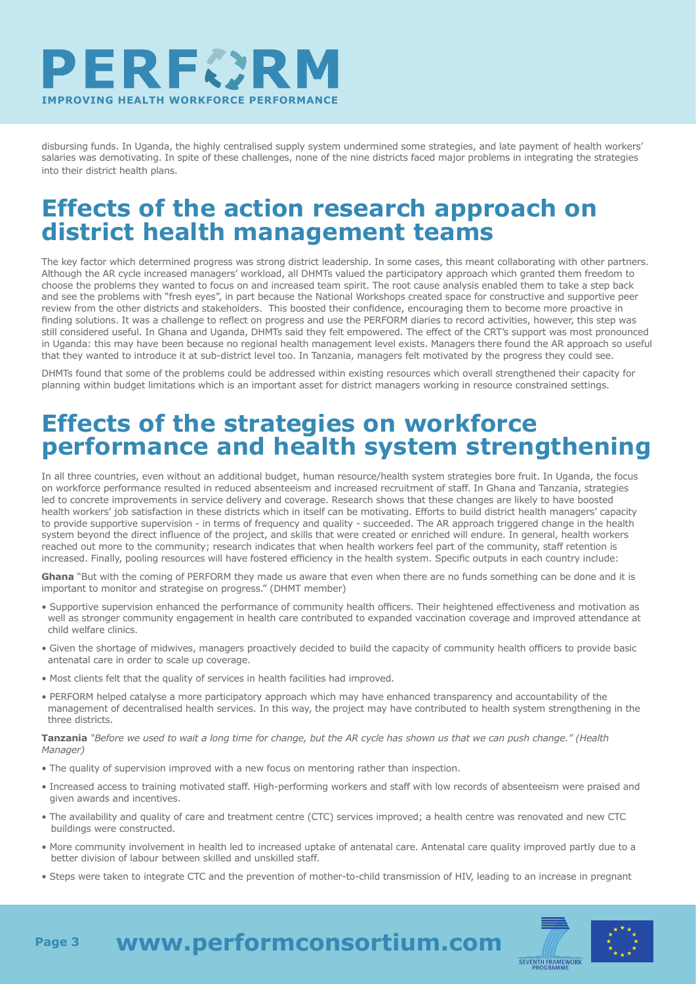

disbursing funds. In Uganda, the highly centralised supply system undermined some strategies, and late payment of health workers' salaries was demotivating. In spite of these challenges, none of the nine districts faced major problems in integrating the strategies into their district health plans.

#### **Effects of the action research approach on district health management teams**

The key factor which determined progress was strong district leadership. In some cases, this meant collaborating with other partners. Although the AR cycle increased managers' workload, all DHMTs valued the participatory approach which granted them freedom to choose the problems they wanted to focus on and increased team spirit. The root cause analysis enabled them to take a step back and see the problems with "fresh eyes", in part because the National Workshops created space for constructive and supportive peer review from the other districts and stakeholders. This boosted their confidence, encouraging them to become more proactive in finding solutions. It was a challenge to reflect on progress and use the PERFORM diaries to record activities, however, this step was still considered useful. In Ghana and Uganda, DHMTs said they felt empowered. The effect of the CRT's support was most pronounced in Uganda: this may have been because no regional health management level exists. Managers there found the AR approach so useful that they wanted to introduce it at sub-district level too. In Tanzania, managers felt motivated by the progress they could see.

DHMTs found that some of the problems could be addressed within existing resources which overall strengthened their capacity for planning within budget limitations which is an important asset for district managers working in resource constrained settings.

#### **Effects of the strategies on workforce performance and health system strengthening**

In all three countries, even without an additional budget, human resource/health system strategies bore fruit. In Uganda, the focus on workforce performance resulted in reduced absenteeism and increased recruitment of staff. In Ghana and Tanzania, strategies led to concrete improvements in service delivery and coverage. Research shows that these changes are likely to have boosted health workers' job satisfaction in these districts which in itself can be motivating. Efforts to build district health managers' capacity to provide supportive supervision - in terms of frequency and quality - succeeded. The AR approach triggered change in the health system beyond the direct influence of the project, and skills that were created or enriched will endure. In general, health workers reached out more to the community; research indicates that when health workers feel part of the community, staff retention is increased. Finally, pooling resources will have fostered efficiency in the health system. Specific outputs in each country include:

**Ghana** "But with the coming of PERFORM they made us aware that even when there are no funds something can be done and it is important to monitor and strategise on progress." (DHMT member)

- Supportive supervision enhanced the performance of community health officers. Their heightened effectiveness and motivation as well as stronger community engagement in health care contributed to expanded vaccination coverage and improved attendance at child welfare clinics.
- Given the shortage of midwives, managers proactively decided to build the capacity of community health officers to provide basic antenatal care in order to scale up coverage.
- Most clients felt that the quality of services in health facilities had improved.
- PERFORM helped catalyse a more participatory approach which may have enhanced transparency and accountability of the management of decentralised health services. In this way, the project may have contributed to health system strengthening in the three districts.

**Tanzania** *"Before we used to wait a long time for change, but the AR cycle has shown us that we can push change." (Health Manager)*

- The quality of supervision improved with a new focus on mentoring rather than inspection.
- Increased access to training motivated staff. High-performing workers and staff with low records of absenteeism were praised and given awards and incentives.
- The availability and quality of care and treatment centre (CTC) services improved; a health centre was renovated and new CTC buildings were constructed.
- More community involvement in health led to increased uptake of antenatal care. Antenatal care quality improved partly due to a better division of labour between skilled and unskilled staff.
- Steps were taken to integrate CTC and the prevention of mother-to-child transmission of HIV, leading to an increase in pregnant